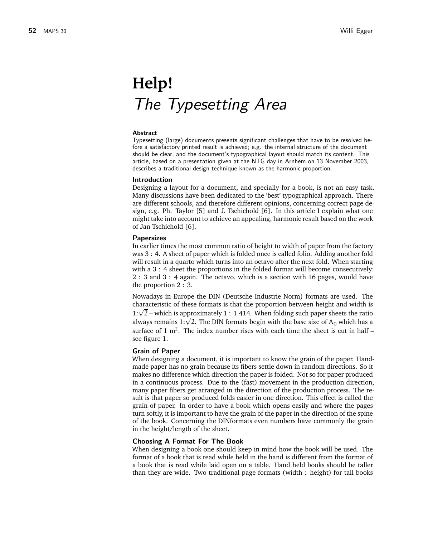# **Help!** *The Typesetting Area*

#### **Abstract**

Typesetting (large) documents presents significant challenges that have to be resolved before a satisfactory printed result is achieved; e.g. the internal structure of the document should be clear, and the document's typographical layout should match its content. This article, based on a presentation given at the NTG day in Arnhem on 13 November 2003, describes a traditional design technique known as the harmonic proportion.

#### **Introduction**

Designing a layout for a document, and specially for a book, is not an easy task. Many discussions have been dedicated to the 'best' typographical approach. There are different schools, and therefore different opinions, concerning correct page design, e.g. Ph. Taylor [5] and J. Tschichold [6]. In this article I explain what one might take into account to achieve an appealing, harmonic result based on the work of Jan Tschichold [6].

### **Papersizes**

In earlier times the most common ratio of height to width of paper from the factory was 3 : 4. A sheet of paper which is folded once is called folio. Adding another fold will result in a quarto which turns into an octavo after the next fold. When starting with a 3 : 4 sheet the proportions in the folded format will become consecutively: 2 : 3 and 3 : 4 again. The octavo, which is a section with 16 pages, would have the proportion 2 : 3.

Nowadays in Europe the DIN (Deutsche Industrie Norm) formats are used. The characteristic of these formats is that the proportion between height and width is characteristic or these formats is that the proportion between height and width is approximately 1 : 1.414. When folding such paper sheets the ratio 1: $\sqrt{2}$  – which is approximately 1 : 1.414. When folding such paper sneets the ratio always remains 1: $\sqrt{2}$ . The DIN formats begin with the base size of A<sub>0</sub> which has a surface of 1  $m^2$ . The index number rises with each time the sheet is cut in half see figure 1.

#### **Grain of Paper**

When designing a document, it is important to know the grain of the paper. Handmade paper has no grain because its fibers settle down in random directions. So it makes no difference which direction the paper is folded. Not so for paper produced in a continuous process. Due to the (fast) movement in the production direction, many paper fibers get arranged in the direction of the production process. The result is that paper so produced folds easier in one direction. This effect is called the grain of paper. In order to have a book which opens easily and where the pages turn softly, it is important to have the grain of the paper in the direction of the spine of the book. Concerning the DINformats even numbers have commonly the grain in the height/length of the sheet.

#### **Choosing A Format For The Book**

When designing a book one should keep in mind how the book will be used. The format of a book that is read while held in the hand is different from the format of a book that is read while laid open on a table. Hand held books should be taller than they are wide. Two traditional page formats (width : height) for tall books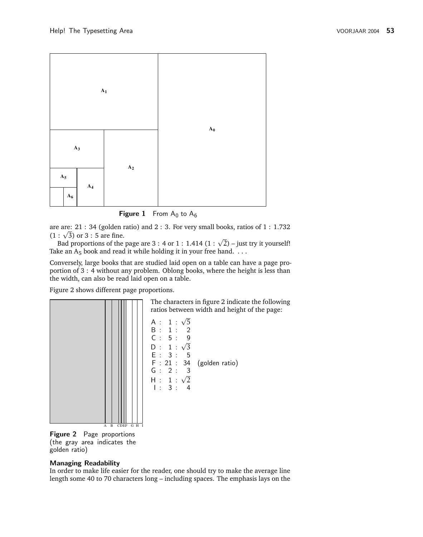

**Figure 1** From  $A_0$  to  $A_6$ 

are are: 21 : 34 (golden ratio) and 2 : 3. For very small books, ratios of 1 : 1.732 are are: 21 : 34 (golden)<br>(1 :  $\sqrt{3}$ ) or 3 : 5 are fine.

: √3) or 3 : 5 are fine.<br>Bad proportions of the page are 3 : 4 or 1 : 1.414 (1 : √2) – just try it yourself! Take an  $A_5$  book and read it while holding it in your free hand.  $\dots$ 

Conversely, large books that are studied laid open on a table can have a page proportion of 3 : 4 without any problem. Oblong books, where the height is less than the width, can also be read laid open on a table.

Figure 2 shows different page proportions.



**Figure 2** Page proportions (the gray area indicates the golden ratio)

# **Managing Readability**

In order to make life easier for the reader, one should try to make the average line length some 40 to 70 characters long – including spaces. The emphasis lays on the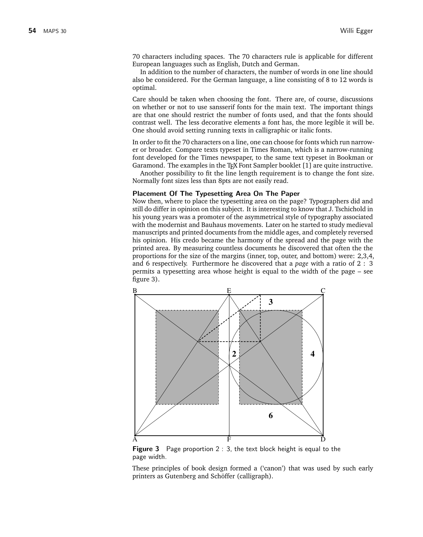70 characters including spaces. The 70 characters rule is applicable for different European languages such as English, Dutch and German.

In addition to the number of characters, the number of words in one line should also be considered. For the German language, a line consisting of 8 to 12 words is optimal.

Care should be taken when choosing the font. There are, of course, discussions on whether or not to use sansserif fonts for the main text. The important things are that one should restrict the number of fonts used, and that the fonts should contrast well. The less decorative elements a font has, the more legible it will be. One should avoid setting running texts in calligraphic or italic fonts.

In order to fit the 70 characters on a line, one can choose for fonts which run narrower or broader. Compare texts typeset in Times Roman, which is a narrow-running font developed for the Times newspaper, to the same text typeset in Bookman or Garamond. The examples in the T<sub>F</sub>X Font Sampler booklet [1] are quite instructive.

Another possibility to fit the line length requirement is to change the font size. Normally font sizes less than 8pts are not easily read.

#### **Placement Of The Typesetting Area On The Paper**

Now then, where to place the typesetting area on the page? Typographers did and still do differ in opinion on this subject. It is interesting to know that J. Tschichold in his young years was a promoter of the asymmetrical style of typography associated with the modernist and Bauhaus movements. Later on he started to study medieval manuscripts and printed documents from the middle ages, and completely reversed his opinion. His credo became the harmony of the spread and the page with the printed area. By measuring countless documents he discovered that often the the proportions for the size of the margins (inner, top, outer, and bottom) were: 2,3,4, and 6 respectively. Furthermore he discovered that a *page* with a ratio of 2 : 3 permits a typesetting area whose height is equal to the width of the page – see figure 3).



**Figure 3** Page proportion 2 : 3, the text block height is equal to the page width.

These principles of book design formed a ('canon') that was used by such early printers as Gutenberg and Schöffer (calligraph).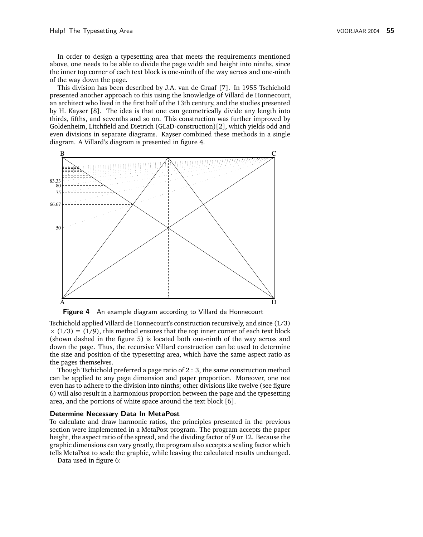In order to design a typesetting area that meets the requirements mentioned above, one needs to be able to divide the page width and height into ninths, since the inner top corner of each text block is one-ninth of the way across and one-ninth of the way down the page.

This division has been described by J.A. van de Graaf [7]. In 1955 Tschichold presented another approach to this using the knowledge of Villard de Honnecourt, an architect who lived in the first half of the 13th century, and the studies presented by H. Kayser [8]. The idea is that one can geometrically divide any length into thirds, fifths, and sevenths and so on. This construction was further improved by Goldenheim, Litchfield and Dietrich (GLaD-construction)[2], which yields odd and even divisions in separate diagrams. Kayser combined these methods in a single diagram. A Villard's diagram is presented in figure 4.



**Figure 4** An example diagram according to Villard de Honnecourt

Tschichold applied Villard de Honnecourt's construction recursively, and since (1/3)  $\times$  (1/3) = (1/9), this method ensures that the top inner corner of each text block (shown dashed in the figure 5) is located both one-ninth of the way across and down the page. Thus, the recursive Villard construction can be used to determine the size and position of the typesetting area, which have the same aspect ratio as the pages themselves.

Though Tschichold preferred a page ratio of 2 : 3, the same construction method can be applied to any page dimension and paper proportion. Moreover, one not even has to adhere to the division into ninths; other divisions like twelve (see figure 6) will also result in a harmonious proportion between the page and the typesetting area, and the portions of white space around the text block [6].

#### **Determine Necessary Data In MetaPost**

To calculate and draw harmonic ratios, the principles presented in the previous section were implemented in a MetaPost program. The program accepts the paper height, the aspect ratio of the spread, and the dividing factor of 9 or 12. Because the graphic dimensions can vary greatly, the program also accepts a scaling factor which tells MetaPost to scale the graphic, while leaving the calculated results unchanged.

Data used in figure 6: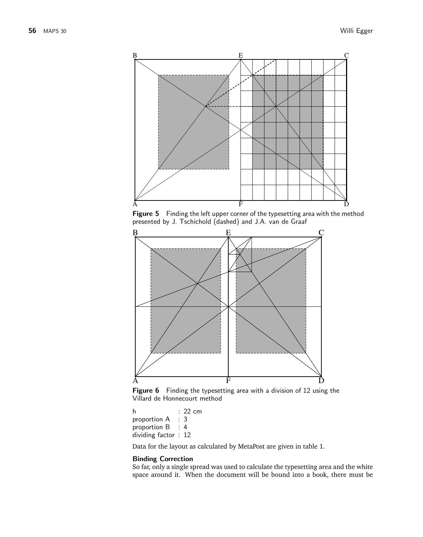

**Figure 5** Finding the left upper corner of the typesetting area with the method presented by J. Tschichold (dashed) and J.A. van de Graaf



**Figure 6** Finding the typesetting area with a division of 12 using the Villard de Honnecourt method

h : 22 cm proportion A : 3 proportion B : 4 dividing factor : 12

Data for the layout as calculated by MetaPost are given in table 1.

# **Binding Correction**

So far, only a single spread was used to calculate the typesetting area and the white space around it. When the document will be bound into a book, there must be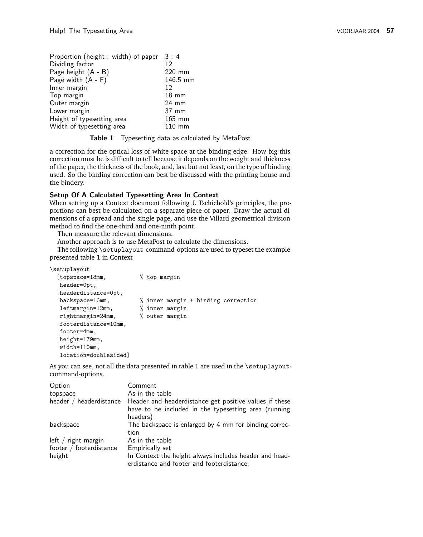| Proportion (height: width) of paper | 3:4              |
|-------------------------------------|------------------|
| Dividing factor                     | 12               |
| Page height (A - B)                 | 220 mm           |
| Page width $(A - F)$                | 146.5 mm         |
| Inner margin                        | 12               |
| Top margin                          | $18 \text{ mm}$  |
| Outer margin                        | $24 \text{ mm}$  |
| Lower margin                        | 37 mm            |
| Height of typesetting area          | $165$ mm         |
| Width of typesetting area           | $110 \text{ mm}$ |

**Table 1** Typesetting data as calculated by MetaPost

a correction for the optical loss of white space at the binding edge. How big this correction must be is difficult to tell because it depends on the weight and thickness of the paper, the thickness of the book, and, last but not least, on the type of binding used. So the binding correction can best be discussed with the printing house and the bindery.

# **Setup Of A Calculated Typesetting Area In Context**

When setting up a Context document following J. Tschichold's principles, the proportions can best be calculated on a separate piece of paper. Draw the actual dimensions of a spread and the single page, and use the Villard geometrical division method to find the one-third and one-ninth point.

Then measure the relevant dimensions.

Another approach is to use MetaPost to calculate the dimensions.

The following \setuplayout-command-options are used to typeset the example presented table 1 in Context

\setuplayout

| [topspace=18mm,       | % top margin                        |
|-----------------------|-------------------------------------|
| header=0pt,           |                                     |
| headerdistance=Opt,   |                                     |
| backspace=16mm,       | % inner margin + binding correction |
| $leftmargin = 12mm,$  | % inner margin                      |
| rightmargin=24mm,     | % outer margin                      |
| footerdistance=10mm,  |                                     |
| footer=4mm,           |                                     |
| height=179mm,         |                                     |
| width=110mm,          |                                     |
| location=doublesided] |                                     |

As you can see, not all the data presented in table 1 are used in the \setuplayoutcommand-options.

| Option                  | Comment                                                                                                                    |
|-------------------------|----------------------------------------------------------------------------------------------------------------------------|
| topspace                | As in the table                                                                                                            |
| header / headerdistance | Header and headerdistance get positive values if these<br>have to be included in the typesetting area (running<br>headers) |
| backspace               | The backspace is enlarged by 4 mm for binding correc-<br>tion                                                              |
| left $/$ right margin   | As in the table                                                                                                            |
| footer / footerdistance | Empirically set                                                                                                            |
| height                  | In Context the height always includes header and head-<br>erdistance and footer and footerdistance.                        |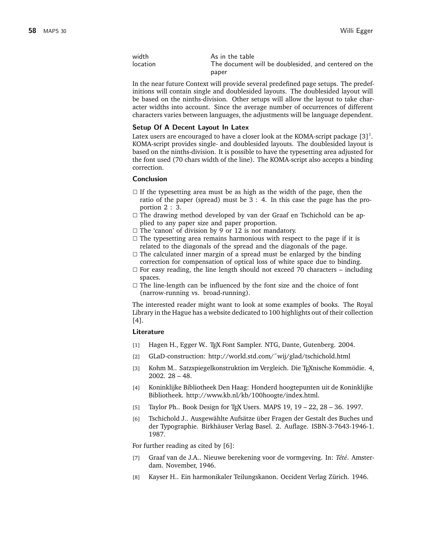| width    | As in the table                                       |
|----------|-------------------------------------------------------|
| location | The document will be doublesided, and centered on the |
|          | paper                                                 |

In the near future Context will provide several predefined page setups. The predefinitions will contain single and doublesided layouts. The doublesided layout will be based on the ninths-division. Other setups will allow the layout to take character widths into account. Since the average number of occurrences of different characters varies between languages, the adjustments will be language dependent.

#### **Setup Of A Decent Layout In Latex**

Latex users are encouraged to have a closer look at the KOMA-script package  $[3]^1$ . KOMA-script provides single- and doublesided layouts. The doublesided layout is based on the ninths-division. It is possible to have the typesetting area adjusted for the font used (70 chars width of the line). The KOMA-script also accepts a binding correction.

#### **Conclusion**

- $\Box$  If the typesetting area must be as high as the width of the page, then the ratio of the paper (spread) must be 3 : 4. In this case the page has the proportion 2 : 3.
- $\square$  The drawing method developed by van der Graaf en Tschichold can be applied to any paper size and paper proportion.
- $\Box$  The 'canon' of division by 9 or 12 is not mandatory.
- $\square$  The typesetting area remains harmonious with respect to the page if it is related to the diagonals of the spread and the diagonals of the page.
- $\square$  The calculated inner margin of a spread must be enlarged by the binding correction for compensation of optical loss of white space due to binding.
- $\square$  For easy reading, the line length should not exceed 70 characters including spaces.
- $\Box$  The line-length can be influenced by the font size and the choice of font (narrow-running vs. broad-running).

The interested reader might want to look at some examples of books. The Royal Library in the Hague has a website dedicated to 100 highlights out of their collection [4].

## **Literature**

- [1] Hagen H., Egger W.. TEX Font Sampler. NTG, Dante, Gutenberg. 2004.
- [2] GLaD-construction: http://world.std.com/~wij/glad/tschichold.html
- [3] Kohm M.. Satzspiegelkonstruktion im Vergleich. Die T<sub>E</sub>Xnische Kommödie. 4, 2002. 28 – 48.
- [4] Koninklijke Bibliotheek Den Haag: Honderd hoogtepunten uit de Koninklijke Bibliotheek. http://www.kb.nl/kb/100hoogte/index.html.
- [5] Taylor Ph.. Book Design for TEX Users. MAPS 19, 19 22, 28 36. 1997.
- [6] Tschichold J.. Ausgewählte Aufsätze über Fragen der Gestalt des Buches und der Typographie. Birkhäuser Verlag Basel. 2. Auflage. ISBN-3-7643-1946-1. 1987.

For further reading as cited by [6]:

- [7] Graaf van de J.A.. Nieuwe berekening voor de vormgeving. In: *Tété*. Amsterdam. November, 1946.
- [8] Kayser H.. Ein harmonikaler Teilungskanon. Occident Verlag Zürich. 1946.